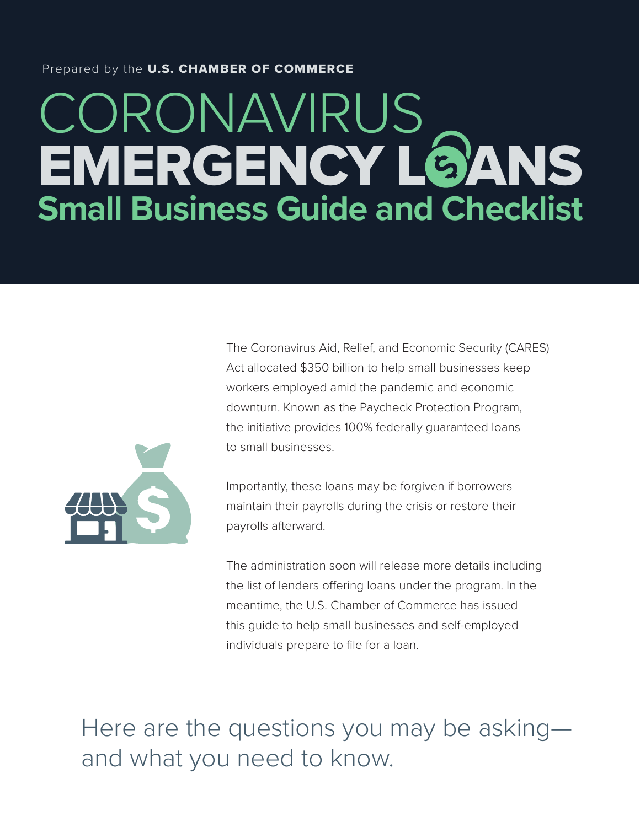## Prepared by the U.S. CHAMBER OF COMMERCE

# CORONAVIRUS EMERGENCY L@ANS **Small Business Guide and Checklist**



The Coronavirus Aid, Relief, and Economic Security (CARES) Act allocated \$350 billion to help small businesses keep workers employed amid the pandemic and economic downturn. Known as the Paycheck Protection Program, the initiative provides 100% federally guaranteed loans to small businesses.

Importantly, these loans may be forgiven if borrowers maintain their payrolls during the crisis or restore their payrolls afterward.

The administration soon will release more details including the list of lenders offering loans under the program. In the meantime, the U.S. Chamber of Commerce has issued this guide to help small businesses and self-employed individuals prepare to file for a loan.

Here are the questions you may be asking and what you need to know.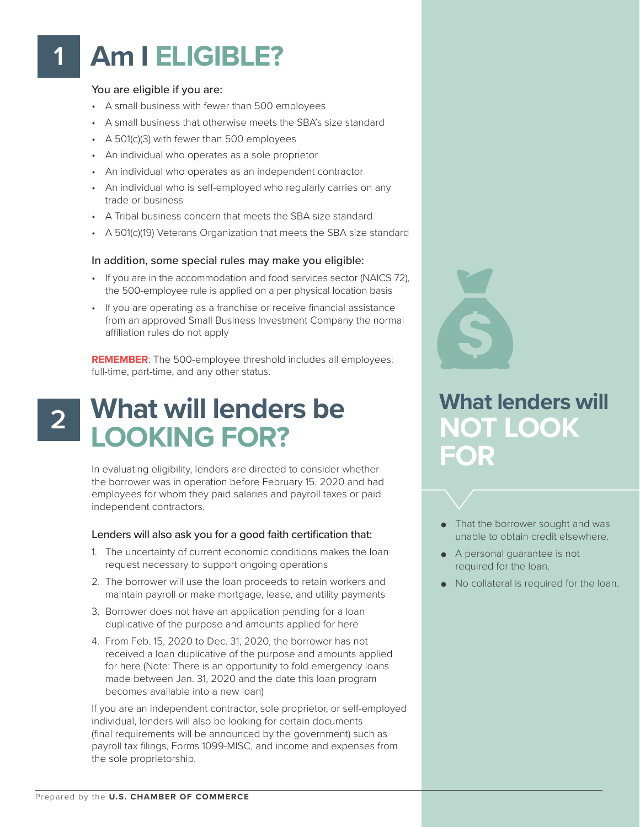## **Am I ELIGIBLE? 1**

#### You are eligible if you are:

- A small business with fewer than 500 employees
- A small business that otherwise meets the SBA's size standard
- A 501(c)(3) with fewer than 500 employees
- An individual who operates as a sole proprietor
- An individual who operates as an independent contractor
- An individual who is self-employed who regularly carries on any trade or business
- A Tribal business concern that meets the SBA size standard
- A 501(c)(19) Veterans Organization that meets the SBA size standard

#### In addition, some special rules may make you eligible:

- If you are in the accommodation and food services sector (NAICS 72), the 500-employee rule is applied on a per physical location basis
- If you are operating as a franchise or receive financial assistance from an approved Small Business Investment Company the normal affiliation rules do not apply

**REMEMBER**: The 500-employee threshold includes all employees: full-time, part-time, and any other status.

# **What will lenders be LOOKING FOR?**

In evaluating eligibility, lenders are directed to consider whether the borrower was in operation before February 15, 2020 and had employees for whom they paid salaries and payroll taxes or paid independent contractors.

#### Lenders will also ask you for a good faith certification that:

- 1. The uncertainty of current economic conditions makes the loan request necessary to support ongoing operations
- 2. The borrower will use the loan proceeds to retain workers and maintain payroll or make mortgage, lease, and utility payments
- 3. Borrower does not have an application pending for a loan duplicative of the purpose and amounts applied for here
- 4. From Feb. 15, 2020 to Dec. 31, 2020, the borrower has not received a loan duplicative of the purpose and amounts applied for here (Note: There is an opportunity to fold emergency loans made between Jan. 31, 2020 and the date this loan program becomes available into a new loan)

If you are an independent contractor, sole proprietor, or self-employed individual, lenders will also be looking for certain documents (final requirements will be announced by the government) such as payroll tax filings, Forms 1099-MISC, and income and expenses from the sole proprietorship.

## **What lenders will NOT LOOK FOR**

- That the borrower sought and was unable to obtain credit elsewhere.
- A personal guarantee is not required for the loan.
- No collateral is required for the loan.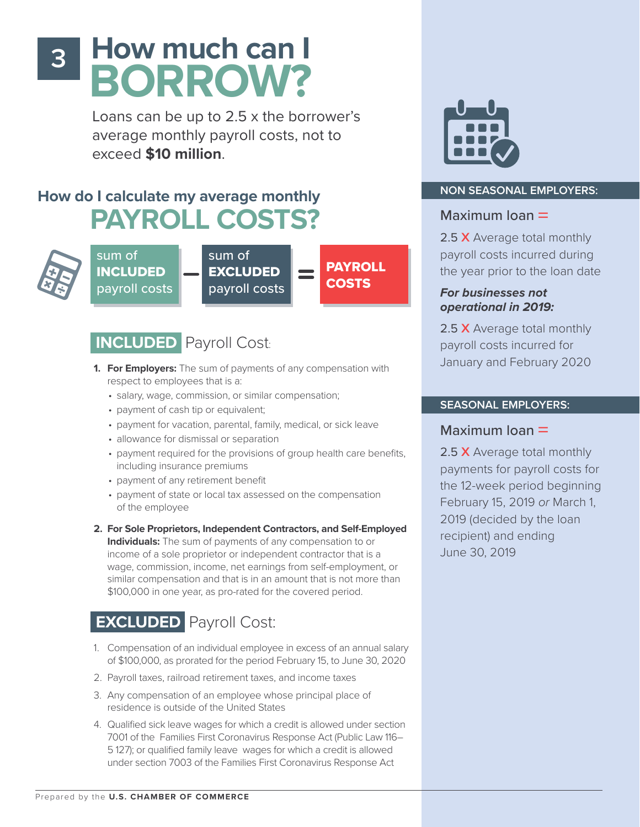# **How much can I BORROW?**

Loans can be up to 2.5 x the borrower's average monthly payroll costs, not to exceed **\$10 million**.

## **How do I calculate my average monthly PAYROLL COSTS?**



**3**

sum of INCLUDED payroll costs

sum of EXCLUDED payroll costs

PAYROLL **COSTS** 

## **INCLUDED** Payroll Cost:

- **1. For Employers:** The sum of payments of any compensation with respect to employees that is a:
	- salary, wage, commission, or similar compensation;
	- payment of cash tip or equivalent;
	- payment for vacation, parental, family, medical, or sick leave
	- allowance for dismissal or separation
	- payment required for the provisions of group health care benefits, including insurance premiums
	- payment of any retirement benefit
	- payment of state or local tax assessed on the compensation of the employee
- **2. For Sole Proprietors, Independent Contractors, and Self-Employed Individuals:** The sum of payments of any compensation to or income of a sole proprietor or independent contractor that is a wage, commission, income, net earnings from self-employment, or similar compensation and that is in an amount that is not more than \$100,000 in one year, as pro-rated for the covered period.

## **EXCLUDED** Payroll Cost:

- 1. Compensation of an individual employee in excess of an annual salary of \$100,000, as prorated for the period February 15, to June 30, 2020
- 2. Payroll taxes, railroad retirement taxes, and income taxes
- 3. Any compensation of an employee whose principal place of residence is outside of the United States
- 4. Qualified sick leave wages for which a credit is allowed under section 7001 of the Families First Coronavirus Response Act (Public Law 116– 5 127); or qualified family leave wages for which a credit is allowed under section 7003 of the Families First Coronavirus Response Act



### **NON SEASONAL EMPLOYERS:**

## Maximum Ioan  $=$

2.5 X Average total monthly payroll costs incurred during the year prior to the loan date

**For businesses not operational in 2019:**

2.5 X Average total monthly payroll costs incurred for January and February 2020

## **SEASONAL EMPLOYERS:**

## Maximum  $loan =$

2.5 X Average total monthly payments for payroll costs for the 12-week period beginning February 15, 2019 or March 1, 2019 (decided by the loan recipient) and ending June 30, 2019